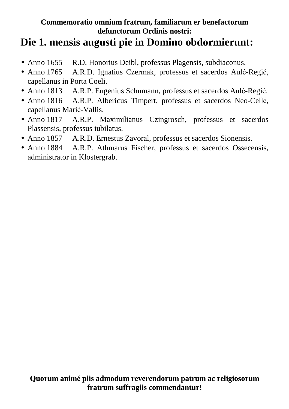## **Die 1. mensis augusti pie in Domino obdormierunt:**

- Anno 1655 R.D. Honorius Deibl, professus Plagensis, subdiaconus.
- Anno 1765 A.R.D. Ignatius Czermak, professus et sacerdos Aulć-Regić, capellanus in Porta Coeli.
- Anno 1813 A.R.P. Eugenius Schumann, professus et sacerdos Aulć-Regić.
- Anno 1816 A.R.P. Albericus Timpert, professus et sacerdos Neo-Cellć, capellanus Marić-Vallis.
- Anno 1817 A.R.P. Maximilianus Czingrosch, professus et sacerdos Plassensis, professus iubilatus.
- Anno 1857 A.R.D. Ernestus Zavoral, professus et sacerdos Sionensis.
- Anno 1884 A.R.P. Athmarus Fischer, professus et sacerdos Ossecensis, administrator in Klostergrab.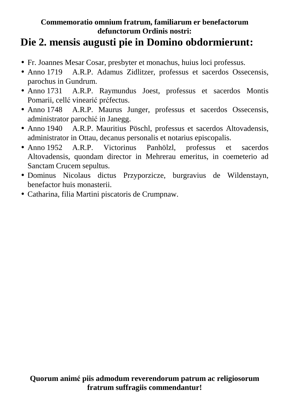## **Die 2. mensis augusti pie in Domino obdormierunt:**

- Fr. Joannes Mesar Cosar, presbyter et monachus, huius loci professus.
- Anno 1719 A.R.P. Adamus Zidlitzer, professus et sacerdos Ossecensis, parochus in Gundrum.
- Anno 1731 A.R.P. Raymundus Joest, professus et sacerdos Montis Pomarii, cellć vinearić prćfectus.
- Anno 1748 A.R.P. Maurus Junger, professus et sacerdos Ossecensis, administrator parochić in Janegg.
- Anno 1940 A.R.P. Mauritius Pöschl, professus et sacerdos Altovadensis, administrator in Ottau, decanus personalis et notarius episcopalis.
- Anno 1952 A.R.P. Victorinus Panhölzl, professus et sacerdos Altovadensis, quondam director in Mehrerau emeritus, in coemeterio ad Sanctam Crucem sepultus.
- Dominus Nicolaus dictus Przyporzicze, burgravius de Wildenstayn, benefactor huis monasterii.
- Catharina, filia Martini piscatoris de Crumpnaw.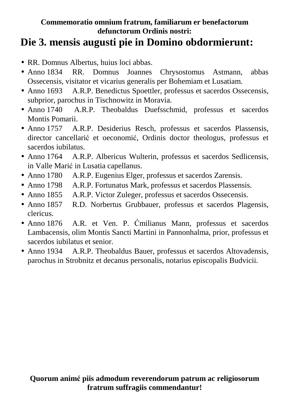## **Die 3. mensis augusti pie in Domino obdormierunt:**

- RR. Domnus Albertus, huius loci abbas.
- Anno 1834 RR. Domnus Joannes Chrysostomus Astmann, abbas Ossecensis, visitator et vicarius generalis per Bohemiam et Lusatiam.
- Anno 1693 A.R.P. Benedictus Spoettler, professus et sacerdos Ossecensis, subprior, parochus in Tischnowitz in Moravia.
- Anno 1740 A.R.P. Theobaldus Duefsschmid, professus et sacerdos Montis Pomarii.
- Anno 1757 A.R.P. Desiderius Resch, professus et sacerdos Plassensis, director cancellarić et oeconomić, Ordinis doctor theologus, professus et sacerdos iubilatus.
- Anno 1764 A.R.P. Albericus Wulterin, professus et sacerdos Sedlicensis, in Valle Marić in Lusatia capellanus.
- Anno 1780 A.R.P. Eugenius Elger, professus et sacerdos Zarensis.
- Anno 1798 A.R.P. Fortunatus Mark, professus et sacerdos Plassensis.
- Anno 1855 A.R.P. Victor Zuleger, professus et sacerdos Ossecensis.
- Anno 1857 R.D. Norbertus Grubbauer, professus et sacerdos Plagensis, clericus.
- Anno 1876 A.R. et Ven. P. Ćmilianus Mann, professus et sacerdos Lambacensis, olim Montis Sancti Martini in Pannonhalma, prior, professus et sacerdos iubilatus et senior.
- Anno 1934 A.R.P. Theobaldus Bauer, professus et sacerdos Altovadensis, parochus in Strobnitz et decanus personalis, notarius episcopalis Budvicii.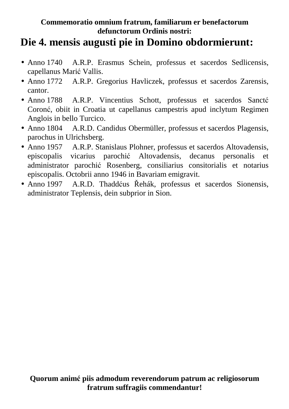## **Die 4. mensis augusti pie in Domino obdormierunt:**

- Anno 1740 A.R.P. Erasmus Schein, professus et sacerdos Sedlicensis, capellanus Marić Vallis.
- Anno 1772 A.R.P. Gregorius Havliczek, professus et sacerdos Zarensis, cantor.
- Anno 1788 A.R.P. Vincentius Schott, professus et sacerdos Sanctć Coronć, obiit in Croatia ut capellanus campestris apud inclytum Regimen Anglois in bello Turcico.
- Anno 1804 A.R.D. Candidus Obermüller, professus et sacerdos Plagensis, parochus in Ulrichsberg.
- Anno 1957 A.R.P. Stanislaus Plohner, professus et sacerdos Altovadensis, episcopalis vicarius parochić Altovadensis, decanus personalis et administrator parochić Rosenberg, consiliarius consitorialis et notarius episcopalis. Octobrii anno 1946 in Bavariam emigravit.
- Anno 1997 A.R.D. Thaddćus Řehák, professus et sacerdos Sionensis, administrator Teplensis, dein subprior in Sion.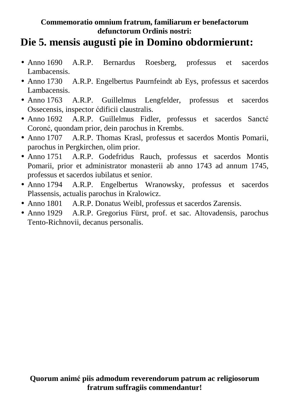## **Die 5. mensis augusti pie in Domino obdormierunt:**

- Anno 1690 A.R.P. Bernardus Roesberg, professus et sacerdos Lambacensis.
- Anno 1730 A.R.P. Engelbertus Paurnfeindt ab Eys, professus et sacerdos Lambacensis.
- Anno 1763 A.R.P. Guillelmus Lengfelder, professus et sacerdos Ossecensis, inspector ćdificii claustralis.
- Anno 1692 A.R.P. Guillelmus Fidler, professus et sacerdos Sanctć Coronć, quondam prior, dein parochus in Krembs.
- Anno 1707 A.R.P. Thomas Krasl, professus et sacerdos Montis Pomarii, parochus in Pergkirchen, olim prior.
- Anno 1751 A.R.P. Godefridus Rauch, professus et sacerdos Montis Pomarii, prior et administrator monasterii ab anno 1743 ad annum 1745, professus et sacerdos iubilatus et senior.
- Anno 1794 A.R.P. Engelbertus Wranowsky, professus et sacerdos Plassensis, actualis parochus in Kralowicz.
- Anno 1801 A.R.P. Donatus Weibl, professus et sacerdos Zarensis.
- Anno 1929 A.R.P. Gregorius Fürst, prof. et sac. Altovadensis, parochus Tento-Richnovii, decanus personalis.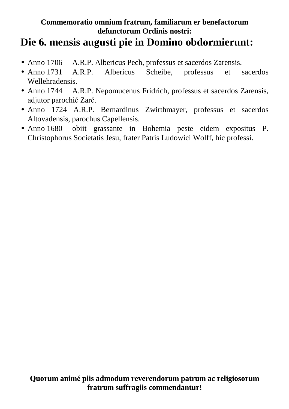### **Die 6. mensis augusti pie in Domino obdormierunt:**

- Anno 1706 A.R.P. Albericus Pech, professus et sacerdos Zarensis.
- Anno 1731 A.R.P. Albericus Scheibe, professus et sacerdos Wellehradensis.
- Anno 1744 A.R.P. Nepomucenus Fridrich, professus et sacerdos Zarensis, adjutor parochić Zarć.
- Anno 1724 A.R.P. Bernardinus Zwirthmayer, professus et sacerdos Altovadensis, parochus Capellensis.
- Anno 1680 obiit grassante in Bohemia peste eidem expositus P. Christophorus Societatis Jesu, frater Patris Ludowici Wolff, hic professi.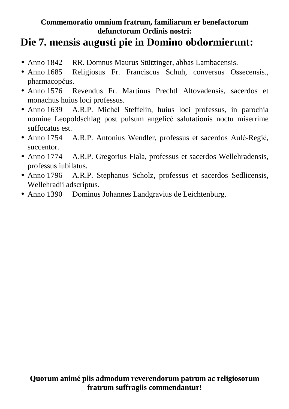## **Die 7. mensis augusti pie in Domino obdormierunt:**

- Anno 1842 RR. Domnus Maurus Stützinger, abbas Lambacensis.
- Anno 1685 Religiosus Fr. Franciscus Schuh, conversus Ossecensis., pharmacopćus.
- Anno 1576 Revendus Fr. Martinus Prechtl Altovadensis, sacerdos et monachus huius loci professus.
- Anno 1639 A.R.P. Michćl Steffelin, huius loci professus, in parochia nomine Leopoldschlag post pulsum angelicć salutationis noctu miserrime suffocatus est.
- Anno 1754 A.R.P. Antonius Wendler, professus et sacerdos Aulć-Regić, succentor.
- Anno 1774 A.R.P. Gregorius Fiala, professus et sacerdos Wellehradensis, professus iubilatus.
- Anno 1796 A.R.P. Stephanus Scholz, professus et sacerdos Sedlicensis, Wellehradii adscriptus.
- Anno 1390 Dominus Johannes Landgravius de Leichtenburg.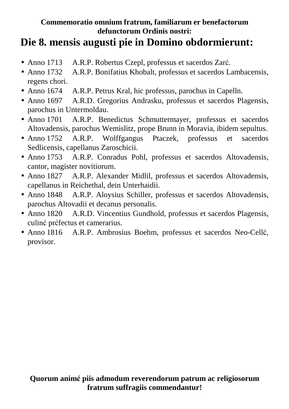## **Die 8. mensis augusti pie in Domino obdormierunt:**

- Anno 1713 A.R.P. Robertus Czepl, professus et sacerdos Zarć.
- Anno 1732 A.R.P. Bonifatius Khobalt, professus et sacerdos Lambacensis, regens chori.
- Anno 1674 A.R.P. Petrus Kral, hic professus, parochus in Capelln.
- Anno 1697 A.R.D. Gregorius Andrasku, professus et sacerdos Plagensis, parochus in Untermoldau.
- Anno 1701 A.R.P. Benedictus Schmuttermayer, professus et sacerdos Altovadensis, parochus Wemislitz, prope Brunn in Moravia, ibidem sepultus.
- Anno 1752 A.R.P. Wolffgangus Ptaczek, professus et sacerdos Sedlicensis, capellanus Zaroschicii.
- Anno 1753 A.R.P. Conradus Pohl, professus et sacerdos Altovadensis, cantor, magister novitiorum.
- Anno 1827 A.R.P. Alexander Midlil, professus et sacerdos Altovadensis, capellanus in Reichethal, dein Unterhaidii.
- Anno 1848 A.R.P. Aloysius Schiller, professus et sacerdos Altovadensis, parochus Altovadii et decanus personalis.
- Anno 1820 A.R.D. Vincentius Gundhold, professus et sacerdos Plagensis, culinć prćfectus et camerarius.
- Anno 1816 A.R.P. Ambrosius Boehm, professus et sacerdos Neo-Cellć, provisor.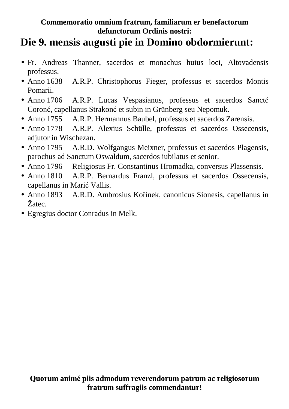## **Die 9. mensis augusti pie in Domino obdormierunt:**

- Fr. Andreas Thanner, sacerdos et monachus huius loci, Altovadensis professus.
- Anno 1638 A.R.P. Christophorus Fieger, professus et sacerdos Montis Pomarii.
- Anno 1706 A.R.P. Lucas Vespasianus, professus et sacerdos Sanctć Coronć, capellanus Strakonć et subin in Grünberg seu Nepomuk.
- Anno 1755 A.R.P. Hermannus Baubel, professus et sacerdos Zarensis.
- Anno 1778 A.R.P. Alexius Schülle, professus et sacerdos Ossecensis, adjutor in Wischezan.
- Anno 1795 A.R.D. Wolfgangus Meixner, professus et sacerdos Plagensis, parochus ad Sanctum Oswaldum, sacerdos iubilatus et senior.
- Anno 1796 Religiosus Fr. Constantinus Hromadka, conversus Plassensis.
- Anno 1810 A.R.P. Bernardus Franzl, professus et sacerdos Ossecensis, capellanus in Marić Vallis.
- Anno 1893 A.R.D. Ambrosius Kořínek, canonicus Sionesis, capellanus in Žatec.
- Egregius doctor Conradus in Melk.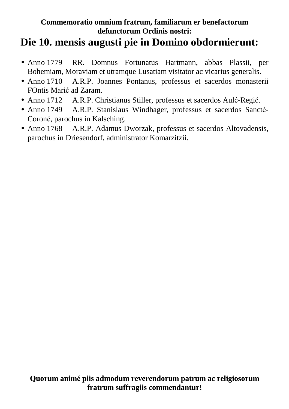## **Die 10. mensis augusti pie in Domino obdormierunt:**

- Anno 1779 RR. Domnus Fortunatus Hartmann, abbas Plassii, per Bohemiam, Moraviam et utramque Lusatiam visitator ac vicarius generalis.
- Anno 1710 A.R.P. Joannes Pontanus, professus et sacerdos monasterii FOntis Marić ad Zaram.
- Anno 1712 A.R.P. Christianus Stiller, professus et sacerdos Aulć-Regić.
- Anno 1749 A.R.P. Stanislaus Windhager, professus et sacerdos Sanctć-Coronć, parochus in Kalsching.
- Anno 1768 A.R.P. Adamus Dworzak, professus et sacerdos Altovadensis, parochus in Driesendorf, administrator Komarzitzii.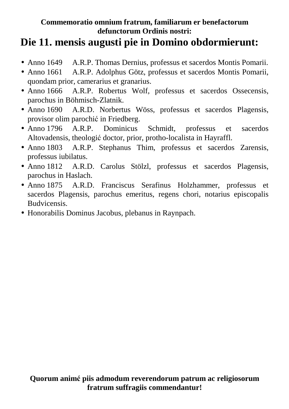# **Die 11. mensis augusti pie in Domino obdormierunt:**

- Anno 1649 A.R.P. Thomas Dernius, professus et sacerdos Montis Pomarii.
- Anno 1661 A.R.P. Adolphus Götz, professus et sacerdos Montis Pomarii, quondam prior, camerarius et granarius.
- Anno 1666 A.R.P. Robertus Wolf, professus et sacerdos Ossecensis, parochus in Böhmisch-Zlatnik.
- Anno 1690 A.R.D. Norbertus Wöss, professus et sacerdos Plagensis, provisor olim parochić in Friedberg.
- Anno 1796 A.R.P. Dominicus Schmidt, professus et sacerdos Altovadensis, theologić doctor, prior, protho-localista in Hayraffl.
- Anno 1803 A.R.P. Stephanus Thim, professus et sacerdos Zarensis, professus iubilatus.
- Anno 1812 A.R.D. Carolus Stölzl, professus et sacerdos Plagensis, parochus in Haslach.
- Anno 1875 A.R.D. Franciscus Serafinus Holzhammer, professus et sacerdos Plagensis, parochus emeritus, regens chori, notarius episcopalis Budvicensis.
- Honorabilis Dominus Jacobus, plebanus in Raynpach.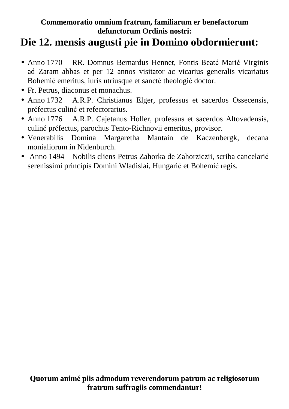# **Die 12. mensis augusti pie in Domino obdormierunt:**

- Anno 1770 RR. Domnus Bernardus Hennet, Fontis Beatć Marić Virginis ad Zaram abbas et per 12 annos visitator ac vicarius generalis vicariatus Bohemić emeritus, iuris utriusque et sanctć theologić doctor.
- Fr. Petrus, diaconus et monachus.
- Anno 1732 A.R.P. Christianus Elger, professus et sacerdos Ossecensis, prćfectus culinć et refectorarius.
- Anno 1776 A.R.P. Cajetanus Holler, professus et sacerdos Altovadensis, culinć prćfectus, parochus Tento-Richnovii emeritus, provisor.
- Venerabilis Domina Margaretha Mantain de Kaczenbergk, decana monialiorum in Nidenburch.
- Anno 1494 Nobilis cliens Petrus Zahorka de Zahorziczii, scriba cancelarić serenissimi principis Domini Wladislai, Hungarić et Bohemić regis.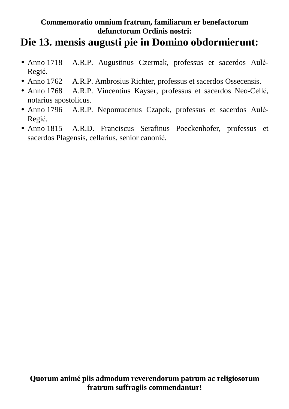## **Die 13. mensis augusti pie in Domino obdormierunt:**

- Anno 1718 A.R.P. Augustinus Czermak, professus et sacerdos Aulć-Regić.
- Anno 1762 A.R.P. Ambrosius Richter, professus et sacerdos Ossecensis.
- Anno 1768 A.R.P. Vincentius Kayser, professus et sacerdos Neo-Cellć, notarius apostolicus.
- Anno 1796 A.R.P. Nepomucenus Czapek, professus et sacerdos Aulć-Regić.
- Anno 1815 A.R.D. Franciscus Serafinus Poeckenhofer, professus et sacerdos Plagensis, cellarius, senior canonić.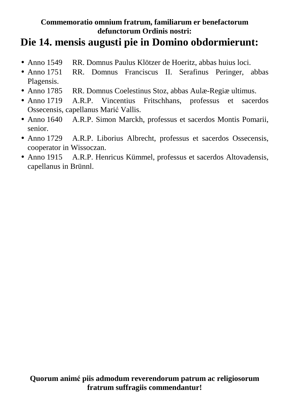## **Die 14. mensis augusti pie in Domino obdormierunt:**

- Anno 1549 RR. Domnus Paulus Klötzer de Hoeritz, abbas huius loci.
- Anno 1751 RR. Domnus Franciscus II. Serafinus Peringer, abbas Plagensis.
- Anno 1785 RR. Domnus Coelestinus Stoz, abbas Aulæ-Regiæ ultimus.
- Anno 1719 A.R.P. Vincentius Fritschhans, professus et sacerdos Ossecensis, capellanus Marić Vallis.
- Anno 1640 A.R.P. Simon Marckh, professus et sacerdos Montis Pomarii, senior.
- Anno 1729 A.R.P. Liborius Albrecht, professus et sacerdos Ossecensis, cooperator in Wissoczan.
- Anno 1915 A.R.P. Henricus Kümmel, professus et sacerdos Altovadensis, capellanus in Brünnl.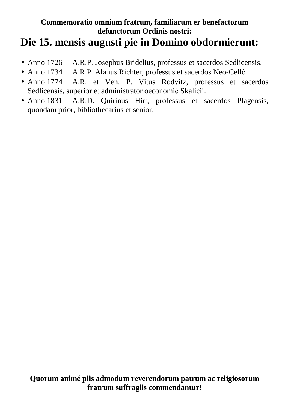## **Die 15. mensis augusti pie in Domino obdormierunt:**

- Anno 1726 A.R.P. Josephus Bridelius, professus et sacerdos Sedlicensis.
- Anno 1734 A.R.P. Alanus Richter, professus et sacerdos Neo-Cellć.
- Anno 1774 A.R. et Ven. P. Vitus Rodvitz, professus et sacerdos Sedlicensis, superior et administrator oeconomić Skalicii.
- Anno 1831 A.R.D. Quirinus Hirt, professus et sacerdos Plagensis, quondam prior, bibliothecarius et senior.

**Quorum animć piis admodum reverendorum patrum ac religiosorum fratrum suffragiis commendantur!**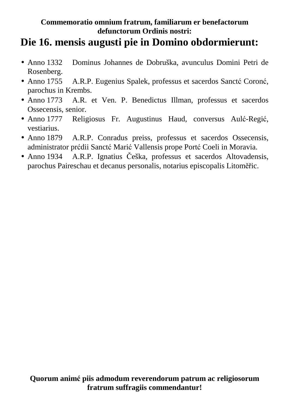## **Die 16. mensis augusti pie in Domino obdormierunt:**

- Anno 1332 Dominus Johannes de Dobruška, avunculus Domini Petri de Rosenberg.
- Anno 1755 A.R.P. Eugenius Spalek, professus et sacerdos Sanctć Coronć, parochus in Krembs.
- Anno 1773 A.R. et Ven. P. Benedictus Illman, professus et sacerdos Ossecensis, senior.
- Anno 1777 Religiosus Fr. Augustinus Haud, conversus Aulć-Regić, vestiarius.
- Anno 1879 A.R.P. Conradus preiss, professus et sacerdos Ossecensis, administrator prćdii Sanctć Marić Vallensis prope Portć Coeli in Moravia.
- Anno 1934 A.R.P. Ignatius Češka, professus et sacerdos Altovadensis, parochus Paireschau et decanus personalis, notarius episcopalis Litoměřic.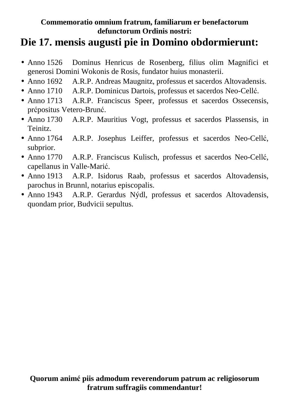# **Die 17. mensis augusti pie in Domino obdormierunt:**

- Anno 1526 Dominus Henricus de Rosenberg, filius olim Magnifici et generosi Domini Wokonis de Rosis, fundator huius monasterii.
- Anno 1692 A.R.P. Andreas Maugnitz, professus et sacerdos Altovadensis.
- Anno 1710 A.R.P. Dominicus Dartois, professus et sacerdos Neo-Cellć.
- Anno 1713 A.R.P. Franciscus Speer, professus et sacerdos Ossecensis, prćpositus Vetero-Brunć.
- Anno 1730 A.R.P. Mauritius Vogt, professus et sacerdos Plassensis, in Teinitz.
- Anno 1764 A.R.P. Josephus Leiffer, professus et sacerdos Neo-Cellć, subprior.
- Anno 1770 A.R.P. Franciscus Kulisch, professus et sacerdos Neo-Cellć, capellanus in Valle-Marić.
- Anno 1913 A.R.P. Isidorus Raab, professus et sacerdos Altovadensis, parochus in Brunnl, notarius episcopalis.
- Anno 1943 A.R.P. Gerardus Nýdl, professus et sacerdos Altovadensis, quondam prior, Budvicii sepultus.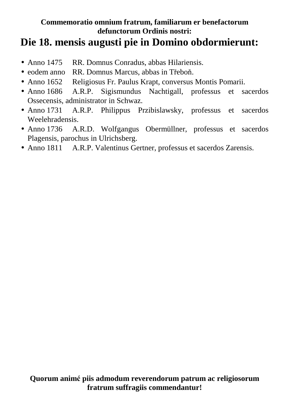### **Die 18. mensis augusti pie in Domino obdormierunt:**

- Anno 1475 RR. Domnus Conradus, abbas Hilariensis.
- eodem anno RR. Domnus Marcus, abbas in Třeboň.
- Anno 1652 Religiosus Fr. Paulus Krapt, conversus Montis Pomarii.
- Anno 1686 A.R.P. Sigismundus Nachtigall, professus et sacerdos Ossecensis, administrator in Schwaz.
- Anno 1731 A.R.P. Philippus Przibislawsky, professus et sacerdos Weelehradensis.
- Anno 1736 A.R.D. Wolfgangus Obermüllner, professus et sacerdos Plagensis, parochus in Ulrichsberg.
- Anno 1811 A.R.P. Valentinus Gertner, professus et sacerdos Zarensis.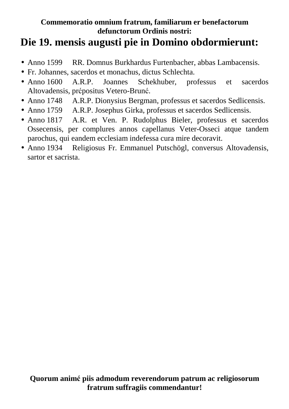# **Die 19. mensis augusti pie in Domino obdormierunt:**

- Anno 1599 RR. Domnus Burkhardus Furtenbacher, abbas Lambacensis.
- Fr. Johannes, sacerdos et monachus, dictus Schlechta.
- Anno 1600 A.R.P. Joannes Schekhuber, professus et sacerdos Altovadensis, prćpositus Vetero-Brunć.
- Anno 1748 A.R.P. Dionysius Bergman, professus et sacerdos Sedlicensis.
- Anno 1759 A.R.P. Josephus Girka, professus et sacerdos Sedlicensis.
- Anno 1817 A.R. et Ven. P. Rudolphus Bieler, professus et sacerdos Ossecensis, per complures annos capellanus Veter-Osseci atque tandem parochus, qui eandem ecclesiam indefessa cura mire decoravit.
- Anno 1934 Religiosus Fr. Emmanuel Putschögl, conversus Altovadensis, sartor et sacrista.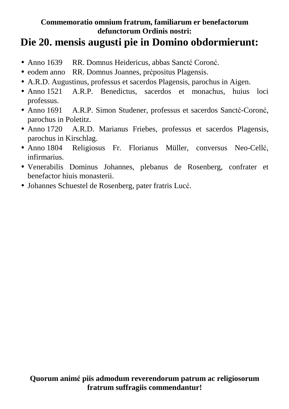## **Die 20. mensis augusti pie in Domino obdormierunt:**

- Anno 1639 RR. Domnus Heidericus, abbas Sancté Coroné.
- eodem anno RR. Domnus Joannes, prćpositus Plagensis.
- A.R.D. Augustinus, professus et sacerdos Plagensis, parochus in Aigen.
- Anno 1521 A.R.P. Benedictus, sacerdos et monachus, huius loci professus.
- Anno 1691 A.R.P. Simon Studener, professus et sacerdos Sanctć-Coronć, parochus in Poletitz.
- Anno 1720 A.R.D. Marianus Friebes, professus et sacerdos Plagensis, parochus in Kirschlag.
- Anno 1804 Religiosus Fr. Florianus Müller, conversus Neo-Cellć, infirmarius.
- Venerabilis Dominus Johannes, plebanus de Rosenberg, confrater et benefactor hiuis monasterii.
- Johannes Schuestel de Rosenberg, pater fratris Lucć.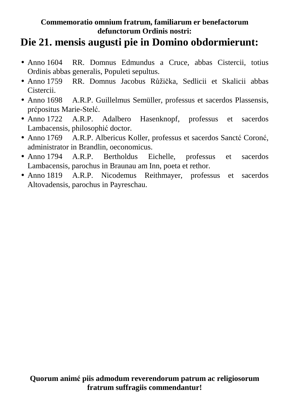# **Die 21. mensis augusti pie in Domino obdormierunt:**

- Anno 1604 RR. Domnus Edmundus a Cruce, abbas Cistercii, totius Ordinis abbas generalis, Populeti sepultus.
- Anno 1759 RR. Domnus Jacobus Růžička, Sedlicii et Skalicii abbas Cistercii.
- Anno 1698 A.R.P. Guillelmus Semüller, professus et sacerdos Plassensis, prćpositus Marie-Stelć.
- Anno 1722 A.R.P. Adalbero Hasenknopf, professus et sacerdos Lambacensis, philosophić doctor.
- Anno 1769 A.R.P. Albericus Koller, professus et sacerdos Sanctć Coronć, administrator in Brandlin, oeconomicus.
- Anno 1794 A.R.P. Bertholdus Eichelle, professus et sacerdos Lambacensis, parochus in Braunau am Inn, poeta et rethor.
- Anno 1819 A.R.P. Nicodemus Reithmayer, professus et sacerdos Altovadensis, parochus in Payreschau.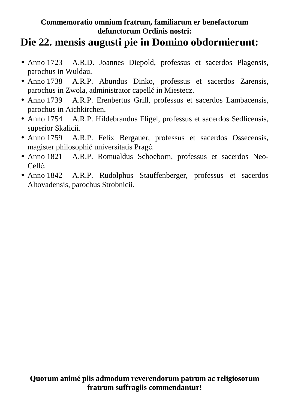## **Die 22. mensis augusti pie in Domino obdormierunt:**

- Anno 1723 A.R.D. Joannes Diepold, professus et sacerdos Plagensis, parochus in Wuldau.
- Anno 1738 A.R.P. Abundus Dinko, professus et sacerdos Zarensis, parochus in Zwola, administrator capellć in Miestecz.
- Anno 1739 A.R.P. Erenbertus Grill, professus et sacerdos Lambacensis, parochus in Aichkirchen.
- Anno 1754 A.R.P. Hildebrandus Fligel, professus et sacerdos Sedlicensis, superior Skalicii.
- Anno 1759 A.R.P. Felix Bergauer, professus et sacerdos Ossecensis, magister philosophić universitatis Pragć.
- Anno 1821 A.R.P. Romualdus Schoeborn, professus et sacerdos Neo-Cellć.
- Anno 1842 A.R.P. Rudolphus Stauffenberger, professus et sacerdos Altovadensis, parochus Strobnicii.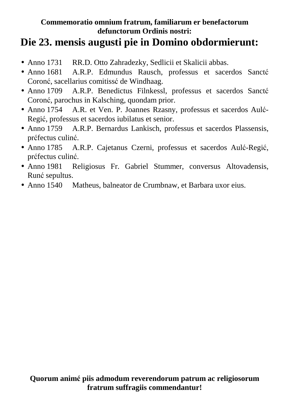# **Die 23. mensis augusti pie in Domino obdormierunt:**

- Anno 1731 RR.D. Otto Zahradezky, Sedlicii et Skalicii abbas.
- Anno 1681 A.R.P. Edmundus Rausch, professus et sacerdos Sanctć Coronć, sacellarius comitissć de Windhaag.
- Anno 1709 A.R.P. Benedictus Filnkessl, professus et sacerdos Sanctć Coronć, parochus in Kalsching, quondam prior.
- Anno 1754 A.R. et Ven. P. Joannes Rzasny, professus et sacerdos Aulć-Regić, professus et sacerdos iubilatus et senior.
- Anno 1759 A.R.P. Bernardus Lankisch, professus et sacerdos Plassensis, prćfectus culinć.
- Anno 1785 A.R.P. Cajetanus Czerni, professus et sacerdos Aulć-Regić, prćfectus culinć.
- Anno 1981 Religiosus Fr. Gabriel Stummer, conversus Altovadensis, Runć sepultus.
- Anno 1540 Matheus, balneator de Crumbnaw, et Barbara uxor eius.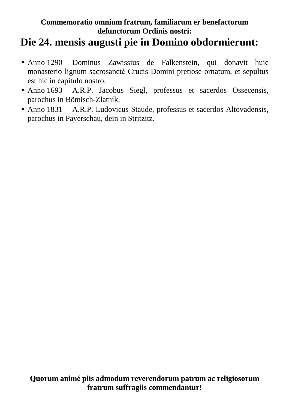## **Die 24. mensis augusti pie in Domino obdormierunt:**

- Anno 1290 Dominus Zawissius de Falkenstein, qui donavit huic monasterio lignum sacrosanctć Crucis Domini pretiose ornatum, et sepultus est hic in capitulo nostro.
- Anno 1693 A.R.P. Jacobus Siegl, professus et sacerdos Ossecensis, parochus in Bömisch-Zlatník.
- Anno 1831 A.R.P. Ludovicus Staude, professus et sacerdos Altovadensis, parochus in Payerschau, dein in Stritzitz.

**Quorum animć piis admodum reverendorum patrum ac religiosorum fratrum suffragiis commendantur!**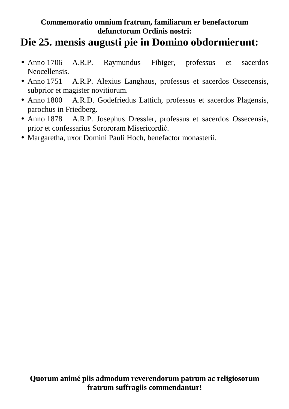# **Die 25. mensis augusti pie in Domino obdormierunt:**

- Anno 1706 A.R.P. Raymundus Fibiger, professus et sacerdos Neocellensis.
- Anno 1751 A.R.P. Alexius Langhaus, professus et sacerdos Ossecensis, subprior et magister novitiorum.
- Anno 1800 A.R.D. Godefriedus Lattich, professus et sacerdos Plagensis, parochus in Friedberg.
- Anno 1878 A.R.P. Josephus Dressler, professus et sacerdos Ossecensis, prior et confessarius Sorororam Misericordić.
- Margaretha, uxor Domini Pauli Hoch, benefactor monasterii.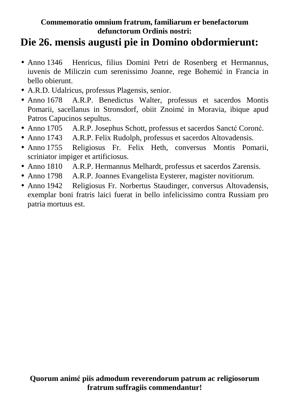# **Die 26. mensis augusti pie in Domino obdormierunt:**

- Anno 1346 Henricus, filius Domini Petri de Rosenberg et Hermannus, iuvenis de Miliczin cum serenissimo Joanne, rege Bohemić in Francia in bello obierunt.
- A.R.D. Udalricus, professus Plagensis, senior.
- Anno 1678 A.R.P. Benedictus Walter, professus et sacerdos Montis Pomarii, sacellanus in Stronsdorf, obiit Znoimć in Moravia, ibique apud Patros Capucinos sepultus.
- Anno 1705 A.R.P. Josephus Schott, professus et sacerdos Sanctć Coronć.
- Anno 1743 A.R.P. Felix Rudolph, professus et sacerdos Altovadensis.
- Anno 1755 Religiosus Fr. Felix Heth, conversus Montis Pomarii, scriniator impiger et artificiosus.
- Anno 1810 A.R.P. Hermannus Melhardt, professus et sacerdos Zarensis.
- Anno 1798 A.R.P. Joannes Evangelista Eysterer, magister novitiorum.
- Anno 1942 Religiosus Fr. Norbertus Staudinger, conversus Altovadensis, exemplar boni fratris laici fuerat in bello infelicissimo contra Russiam pro patria mortuus est.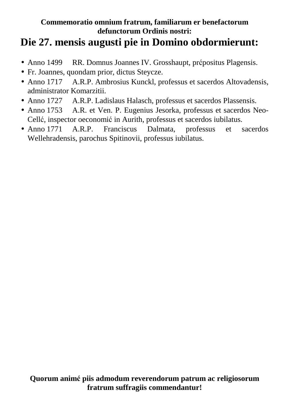# **Die 27. mensis augusti pie in Domino obdormierunt:**

- Anno 1499 RR. Domnus Joannes IV. Grosshaupt, prćpositus Plagensis.
- Fr. Joannes, quondam prior, dictus Steycze.
- Anno 1717 A.R.P. Ambrosius Kunckl, professus et sacerdos Altovadensis, administrator Komarzitii.
- Anno 1727 A.R.P. Ladislaus Halasch, professus et sacerdos Plassensis.
- Anno 1753 A.R. et Ven. P. Eugenius Jesorka, professus et sacerdos Neo-Cellć, inspector oeconomić in Aurith, professus et sacerdos iubilatus.
- Anno 1771 A.R.P. Franciscus Dalmata, professus et sacerdos Wellehradensis, parochus Spitinovii, professus iubilatus.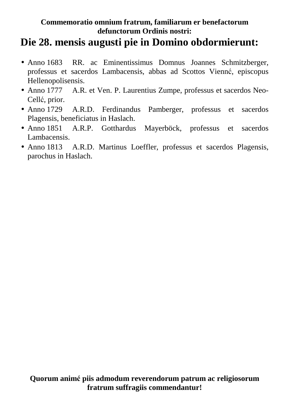## **Die 28. mensis augusti pie in Domino obdormierunt:**

- Anno 1683 RR. ac Eminentissimus Domnus Joannes Schmitzberger, professus et sacerdos Lambacensis, abbas ad Scottos Viennć, episcopus Hellenopolisensis.
- Anno 1777 A.R. et Ven. P. Laurentius Zumpe, professus et sacerdos Neo-Cellć, prior.
- Anno 1729 A.R.D. Ferdinandus Pamberger, professus et sacerdos Plagensis, beneficiatus in Haslach.
- Anno 1851 A.R.P. Gotthardus Mayerböck, professus et sacerdos Lambacensis.
- Anno 1813 A.R.D. Martinus Loeffler, professus et sacerdos Plagensis, parochus in Haslach.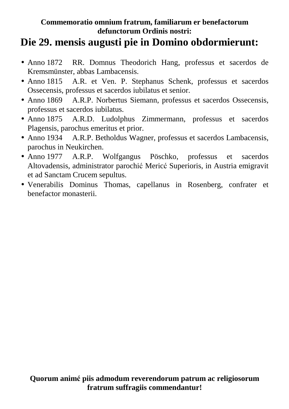# **Die 29. mensis augusti pie in Domino obdormierunt:**

- Anno 1872 RR. Domnus Theodorich Hang, professus et sacerdos de Kremsmünster, abbas Lambacensis.
- Anno 1815 A.R. et Ven. P. Stephanus Schenk, professus et sacerdos Ossecensis, professus et sacerdos iubilatus et senior.
- Anno 1869 A.R.P. Norbertus Siemann, professus et sacerdos Ossecensis, professus et sacerdos iubilatus.
- Anno 1875 A.R.D. Ludolphus Zimmermann, professus et sacerdos Plagensis, parochus emeritus et prior.
- Anno 1934 A.R.P. Betholdus Wagner, professus et sacerdos Lambacensis, parochus in Neukirchen.
- Anno 1977 A.R.P. Wolfgangus Pöschko, professus et sacerdos Altovadensis, administrator parochić Mericć Superioris, in Austria emigravit et ad Sanctam Crucem sepultus.
- Venerabilis Dominus Thomas, capellanus in Rosenberg, confrater et benefactor monasterii.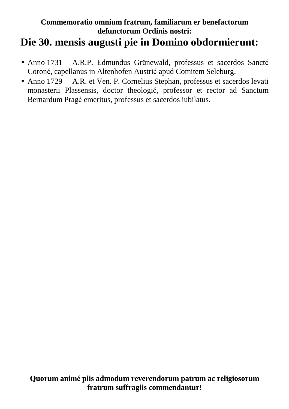### **Commemoratio omnium fratrum, familiarum er benefactorum defunctorum Ordinis nostri: Die 30. mensis augusti pie in Domino obdormierunt:**

- Anno 1731 A.R.P. Edmundus Grünewald, professus et sacerdos Sanctć Coronć, capellanus in Altenhofen Austrić apud Comitem Seleburg.
- Anno 1729 A.R. et Ven. P. Cornelius Stephan, professus et sacerdos levati monasterii Plassensis, doctor theologić, professor et rector ad Sanctum Bernardum Pragć emeritus, professus et sacerdos iubilatus.